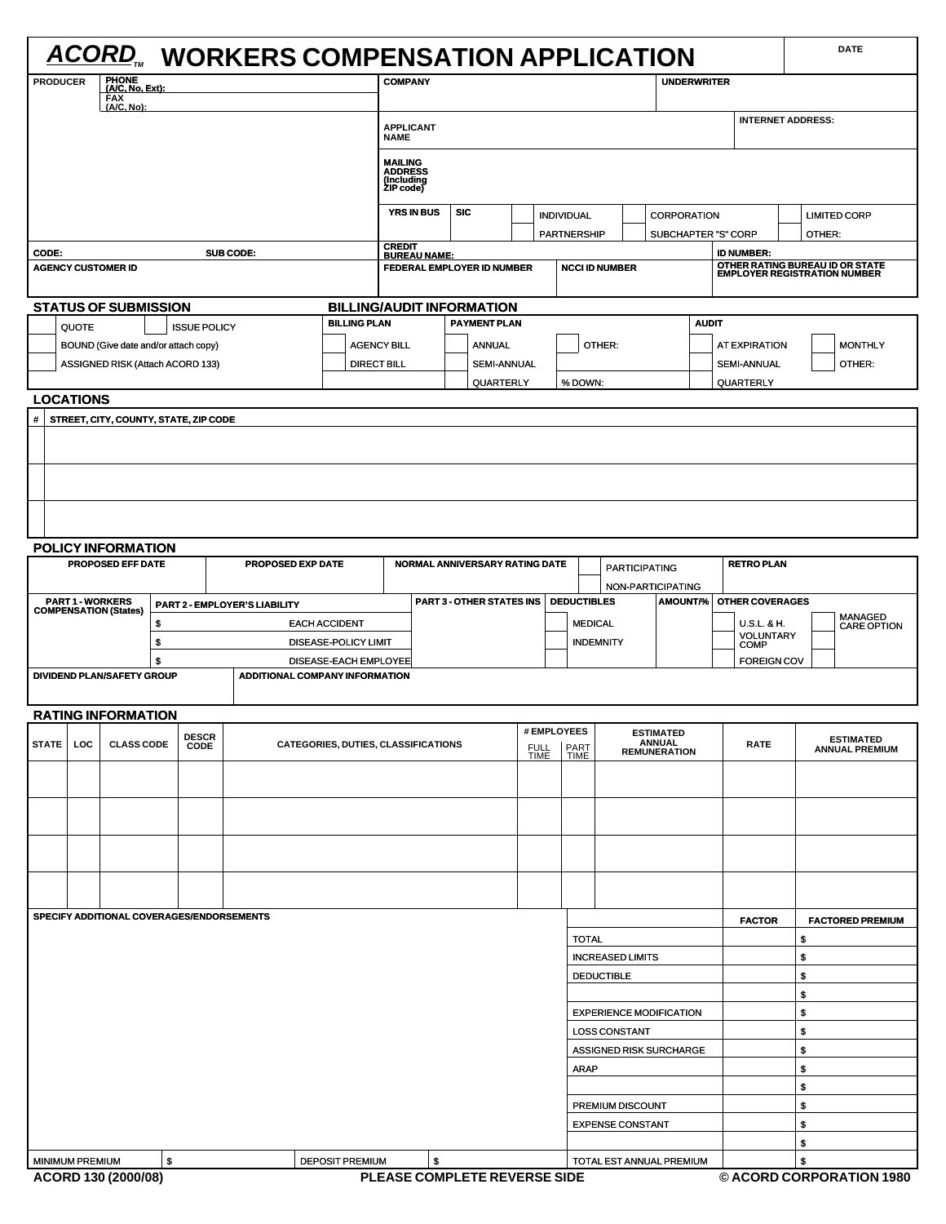|                                                                                               |       |                                                         |          |                                                                    | <b>ACORD</b> WORKERS COMPENSATION APPLICATION           |                                              |                              |                                                                          |                                                        |                         |                                       |                          |                         |                                           |                                   |                          |                    |                    | <b>DATE</b>                                                     |
|-----------------------------------------------------------------------------------------------|-------|---------------------------------------------------------|----------|--------------------------------------------------------------------|---------------------------------------------------------|----------------------------------------------|------------------------------|--------------------------------------------------------------------------|--------------------------------------------------------|-------------------------|---------------------------------------|--------------------------|-------------------------|-------------------------------------------|-----------------------------------|--------------------------|--------------------|--------------------|-----------------------------------------------------------------|
| PHONE<br>(A/C, No, Ext):<br><b>PRODUCER</b><br>FAX<br>(A/C, No):                              |       |                                                         |          |                                                                    | <b>COMPANY</b><br><b>UNDERWRITER</b>                    |                                              |                              |                                                                          |                                                        |                         |                                       |                          |                         |                                           |                                   |                          |                    |                    |                                                                 |
|                                                                                               |       |                                                         |          | <b>APPLICANT</b><br><b>NAME</b>                                    |                                                         |                                              |                              |                                                                          |                                                        |                         |                                       | <b>INTERNET ADDRESS:</b> |                         |                                           |                                   |                          |                    |                    |                                                                 |
|                                                                                               |       |                                                         |          |                                                                    | <b>MAILING<br/>ADDRESS<br/>(Including<br/>ZIP code)</b> |                                              |                              |                                                                          |                                                        |                         |                                       |                          |                         |                                           |                                   |                          |                    |                    |                                                                 |
|                                                                                               |       |                                                         |          |                                                                    |                                                         |                                              |                              | <b>YRS IN BUS</b>                                                        | <b>SIC</b>                                             |                         |                                       | <b>INDIVIDUAL</b>        |                         |                                           | <b>CORPORATION</b>                |                          |                    |                    | <b>LIMITED CORP</b>                                             |
|                                                                                               |       |                                                         |          |                                                                    |                                                         |                                              | PARTNERSHIP<br><b>CREDIT</b> |                                                                          |                                                        |                         |                                       | SUBCHAPTER "S" CORP      |                         |                                           |                                   |                          | OTHER:             |                    |                                                                 |
| CODE:                                                                                         |       | <b>AGENCY CUSTOMER ID</b>                               |          |                                                                    | SUB CODE:                                               |                                              |                              | <b>BUREAU NAME:</b>                                                      | FEDERAL EMPLOYER ID NUMBER                             |                         |                                       |                          | <b>NCCI ID NUMBER</b>   |                                           |                                   |                          | <b>ID NUMBER:</b>  |                    | OTHER RATING BUREAU ID OR STATE<br>EMPLOYER REGISTRATION NUMBER |
|                                                                                               |       | <b>STATUS OF SUBMISSION</b>                             |          |                                                                    |                                                         |                                              |                              |                                                                          | <b>BILLING/AUDIT INFORMATION</b>                       |                         |                                       |                          |                         |                                           |                                   |                          |                    |                    |                                                                 |
|                                                                                               | QUOTE |                                                         |          | <b>ISSUE POLICY</b>                                                |                                                         | <b>BILLING PLAN</b>                          |                              |                                                                          | <b>PAYMENT PLAN</b>                                    |                         |                                       |                          |                         |                                           |                                   | <b>AUDIT</b>             |                    |                    |                                                                 |
|                                                                                               |       | BOUND (Give date and/or attach copy)                    |          |                                                                    |                                                         |                                              | <b>AGENCY BILL</b><br>ANNUAL |                                                                          |                                                        |                         |                                       | OTHER:                   |                         |                                           |                                   | <b>AT EXPIRATION</b>     |                    | <b>MONTHLY</b>     |                                                                 |
|                                                                                               |       | ASSIGNED RISK (Attach ACORD 133)                        |          |                                                                    |                                                         | <b>DIRECT BILL</b>                           |                              |                                                                          | <b>SEMI-ANNUAL</b>                                     |                         |                                       |                          |                         |                                           |                                   |                          | <b>SEMI-ANNUAL</b> |                    | OTHER:                                                          |
| <b>LOCATIONS</b>                                                                              |       |                                                         |          |                                                                    |                                                         |                                              |                              |                                                                          | QUARTERLY                                              |                         |                                       | % DOWN:                  |                         |                                           |                                   |                          | QUARTERLY          |                    |                                                                 |
| #                                                                                             |       | STREET, CITY, COUNTY, STATE, ZIP CODE                   |          |                                                                    |                                                         |                                              |                              |                                                                          |                                                        |                         |                                       |                          |                         |                                           |                                   |                          |                    |                    |                                                                 |
|                                                                                               |       |                                                         |          |                                                                    |                                                         |                                              |                              |                                                                          |                                                        |                         |                                       |                          |                         |                                           |                                   |                          |                    |                    |                                                                 |
|                                                                                               |       |                                                         |          |                                                                    |                                                         |                                              |                              |                                                                          |                                                        |                         |                                       |                          |                         |                                           |                                   |                          |                    |                    |                                                                 |
|                                                                                               |       |                                                         |          |                                                                    |                                                         |                                              |                              |                                                                          |                                                        |                         |                                       |                          |                         |                                           |                                   |                          |                    |                    |                                                                 |
|                                                                                               |       | <b>POLICY INFORMATION</b>                               |          |                                                                    |                                                         |                                              |                              |                                                                          |                                                        |                         |                                       |                          |                         |                                           |                                   |                          |                    |                    |                                                                 |
|                                                                                               |       | PROPOSED EFF DATE                                       |          |                                                                    | PROPOSED EXP DATE                                       |                                              |                              |                                                                          | NORMAL ANNIVERSARY RATING DATE                         |                         |                                       |                          |                         | <b>PARTICIPATING</b>                      |                                   |                          | <b>RETRO PLAN</b>  |                    |                                                                 |
|                                                                                               |       |                                                         |          |                                                                    |                                                         |                                              |                              |                                                                          |                                                        |                         |                                       |                          |                         | NON-PARTICIPATING                         |                                   |                          |                    |                    |                                                                 |
|                                                                                               |       | <b>PART 1 - WORKERS</b><br><b>COMPENSATION (States)</b> |          |                                                                    | PART 2 - EMPLOYER'S LIABILITY                           |                                              | PART 3 - OTHER STATES INS    |                                                                          |                                                        |                         | <b>DEDUCTIBLES</b><br><b>AMOUNT/%</b> |                          |                         |                                           | <b>OTHER COVERAGES</b>            |                          | MANAGED            |                    |                                                                 |
|                                                                                               |       |                                                         | \$<br>\$ |                                                                    |                                                         | <b>EACH ACCIDENT</b><br>DISEASE-POLICY LIMIT |                              |                                                                          |                                                        |                         | <b>MEDICAL</b><br><b>INDEMNITY</b>    |                          |                         |                                           |                                   | U.S.L. & H.<br>VOLUNTARY |                    | <b>CARE OPTION</b> |                                                                 |
|                                                                                               |       |                                                         | \$       |                                                                    |                                                         | DISEASE-EACH EMPLOYEE                        |                              |                                                                          |                                                        |                         |                                       |                          |                         |                                           | <b>COMP</b><br><b>FOREIGN COV</b> |                          |                    |                    |                                                                 |
|                                                                                               |       | DIVIDEND PLAN/SAFETY GROUP                              |          |                                                                    | <b>ADDITIONAL COMPANY INFORMATION</b>                   |                                              |                              |                                                                          |                                                        |                         |                                       |                          |                         |                                           |                                   |                          |                    |                    |                                                                 |
|                                                                                               |       |                                                         |          |                                                                    |                                                         |                                              |                              |                                                                          |                                                        |                         |                                       |                          |                         |                                           |                                   |                          |                    |                    |                                                                 |
| <b>RATING INFORMATION</b><br><b>DESCR</b><br><b>STATE</b><br><b>CLASS CODE</b><br>LOC<br>CODE |       |                                                         |          | # EMPLOYEES<br>CATEGORIES, DUTIES, CLASSIFICATIONS<br>FULL<br>TIME |                                                         |                                              |                              | <b>ESTIMATED</b><br><b>ANNUAL</b><br>PART<br>TIME<br><b>REMUNERATION</b> |                                                        |                         |                                       |                          | <b>RATE</b>             | <b>ESTIMATED</b><br><b>ANNUAL PREMIUM</b> |                                   |                          |                    |                    |                                                                 |
|                                                                                               |       |                                                         |          |                                                                    |                                                         |                                              |                              |                                                                          |                                                        |                         |                                       |                          |                         |                                           |                                   |                          |                    |                    |                                                                 |
|                                                                                               |       |                                                         |          |                                                                    |                                                         |                                              |                              |                                                                          |                                                        |                         |                                       |                          |                         |                                           |                                   |                          |                    |                    |                                                                 |
|                                                                                               |       |                                                         |          |                                                                    |                                                         |                                              |                              |                                                                          |                                                        |                         |                                       |                          |                         |                                           |                                   |                          |                    |                    |                                                                 |
|                                                                                               |       |                                                         |          |                                                                    |                                                         |                                              |                              |                                                                          |                                                        |                         |                                       |                          |                         |                                           |                                   |                          |                    |                    |                                                                 |
|                                                                                               |       | SPECIFY ADDITIONAL COVERAGES/ENDORSEMENTS               |          |                                                                    |                                                         |                                              |                              |                                                                          |                                                        |                         |                                       |                          |                         |                                           |                                   |                          | <b>FACTOR</b>      |                    | <b>FACTORED PREMIUM</b>                                         |
|                                                                                               |       |                                                         |          |                                                                    |                                                         |                                              |                              |                                                                          |                                                        |                         |                                       | <b>TOTAL</b>             |                         |                                           |                                   |                          |                    | \$                 |                                                                 |
|                                                                                               |       |                                                         |          |                                                                    |                                                         |                                              |                              |                                                                          |                                                        | <b>INCREASED LIMITS</b> |                                       |                          |                         |                                           |                                   | \$                       |                    |                    |                                                                 |
|                                                                                               |       |                                                         |          |                                                                    |                                                         |                                              |                              |                                                                          |                                                        |                         |                                       |                          | <b>DEDUCTIBLE</b>       |                                           |                                   |                          |                    | \$                 |                                                                 |
|                                                                                               |       |                                                         |          |                                                                    |                                                         |                                              |                              |                                                                          |                                                        |                         |                                       |                          |                         |                                           |                                   | \$                       |                    |                    |                                                                 |
|                                                                                               |       |                                                         |          |                                                                    |                                                         |                                              |                              |                                                                          | <b>EXPERIENCE MODIFICATION</b><br><b>LOSS CONSTANT</b> |                         |                                       |                          |                         |                                           |                                   | \$<br>\$                 |                    |                    |                                                                 |
|                                                                                               |       |                                                         |          |                                                                    |                                                         |                                              |                              |                                                                          |                                                        |                         |                                       |                          |                         | ASSIGNED RISK SURCHARGE                   |                                   |                          |                    | \$                 |                                                                 |
|                                                                                               |       |                                                         |          |                                                                    |                                                         |                                              |                              |                                                                          |                                                        |                         |                                       | <b>ARAP</b>              |                         |                                           |                                   |                          |                    | \$                 |                                                                 |
|                                                                                               |       |                                                         |          |                                                                    |                                                         |                                              |                              |                                                                          |                                                        |                         |                                       |                          |                         |                                           |                                   |                          |                    | \$                 |                                                                 |
|                                                                                               |       |                                                         |          |                                                                    |                                                         |                                              |                              |                                                                          |                                                        |                         |                                       |                          | PREMIUM DISCOUNT        |                                           |                                   |                          |                    | \$                 |                                                                 |
|                                                                                               |       |                                                         |          |                                                                    |                                                         |                                              |                              |                                                                          |                                                        |                         |                                       |                          | <b>EXPENSE CONSTANT</b> |                                           |                                   |                          |                    | \$                 |                                                                 |
|                                                                                               |       |                                                         | \$       |                                                                    |                                                         | <b>DEPOSIT PREMIUM</b>                       |                              | \$                                                                       |                                                        |                         |                                       |                          |                         | TOTAL EST ANNUAL PREMIUM                  |                                   |                          |                    | \$<br>\$           |                                                                 |
| <b>MINIMUM PREMIUM</b>                                                                        |       | ACORD 130 (2000/08)                                     |          |                                                                    |                                                         |                                              |                              |                                                                          | PLEASE COMPLETE REVERSE SIDE                           |                         |                                       |                          |                         |                                           |                                   |                          |                    |                    | © ACORD CORPORATION 1980                                        |